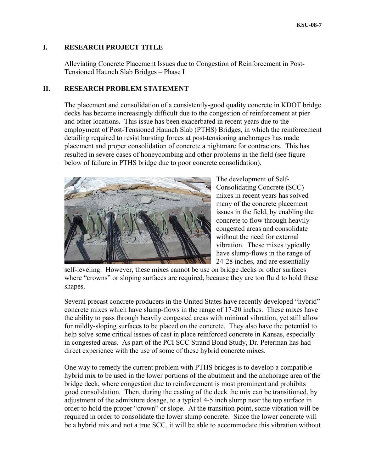## **I. RESEARCH PROJECT TITLE**

Alleviating Concrete Placement Issues due to Congestion of Reinforcement in Post-Tensioned Haunch Slab Bridges – Phase I

# **II. RESEARCH PROBLEM STATEMENT**

The placement and consolidation of a consistently-good quality concrete in KDOT bridge decks has become increasingly difficult due to the congestion of reinforcement at pier and other locations. This issue has been exacerbated in recent years due to the employment of Post-Tensioned Haunch Slab (PTHS) Bridges, in which the reinforcement detailing required to resist bursting forces at post-tensioning anchorages has made placement and proper consolidation of concrete a nightmare for contractors. This has resulted in severe cases of honeycombing and other problems in the field (see figure below of failure in PTHS bridge due to poor concrete consolidation).



The development of Self-Consolidating Concrete (SCC) mixes in recent years has solved many of the concrete placement issues in the field, by enabling the concrete to flow through heavily congested areas and consolidate without the need for external vibration. These mixes typically have slump-flows in the range of 24-28 inches, and are essentially

self-leveling. However, these mixes cannot be use on bridge decks or other surfaces where "crowns" or sloping surfaces are required, because they are too fluid to hold these shapes.

in congested areas. As part of the PCI SCC Strand Bond Study, Dr. Peterman has had direct experience with the use of some of these hybrid concrete mixes. Several precast concrete producers in the United States have recently developed "hybrid" concrete mixes which have slump-flows in the range of 17-20 inches. These mixes have the ability to pass through heavily congested areas with minimal vibration, yet still allow for mildly-sloping surfaces to be placed on the concrete. They also have the potential to help solve some critical issues of cast in place reinforced concrete in Kansas, especially

hybrid mix to be used in the lower portions of the abutment and the anchorage area of the be a hybrid mix and not a true SCC, it will be able to accommodate this vibration without One way to remedy the current problem with PTHS bridges is to develop a compatible bridge deck, where congestion due to reinforcement is most prominent and prohibits good consolidation. Then, during the casting of the deck the mix can be transitioned, by adjustment of the admixture dosage, to a typical 4-5 inch slump near the top surface in order to hold the proper "crown" or slope. At the transition point, some vibration will be required in order to consolidate the lower slump concrete. Since the lower concrete will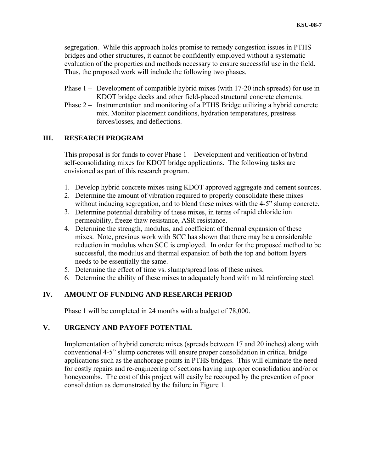segregation. While this approach holds promise to remedy congestion issues in PTHS bridges and other structures, it cannot be confidently employed without a systematic evaluation of the properties and methods necessary to ensure successful use in the field. Thus, the proposed work will include the following two phases.

- Phase  $1 -$  Development of compatible hybrid mixes (with 17-20 inch spreads) for use in KDOT bridge decks and other field-placed structural concrete elements.
- Phase 2 Instrumentation and monitoring of a PTHS Bridge utilizing a hybrid concrete mix. Monitor placement conditions, hydration temperatures, prestress forces/losses, and deflections.

#### **I. RESEARCH PROGRAM II**

This proposal is for funds to cover Phase  $1 -$  Development and verification of hybrid self-consolidating mixes for KDOT bridge applications. The following tasks are envisioned as part of this research program.

- 1. Develop hybrid concrete mixes using KDOT approved aggregate and cement sources.
- 2. Determine the amount of vibration required to properly consolidate these mixes without inducing segregation, and to blend these mixes with the 4-5" slump concrete.
- 3. Determine potential durability of these mixes, in terms of rapid chloride ion permeability, freeze thaw resistance, ASR resistance.
- 4. Determine the strength, modulus, and coefficient of thermal expansion of these reduction in modulus when SCC is employed. In order for the proposed method to be successful, the modulus and thermal expansion of both the top and bottom layers mixes. Note, previous work with SCC has shown that there may be a considerable needs to be essentially the same.
- 5. Determine the effect of time vs. slump/spread loss of these mixes.
- 6. Determine the ability of these mixes to adequately bond with mild reinforcing steel.

## **IV. AMOUNT OF FUNDING AND RESEARCH PERIOD**

Phase 1 will be completed in 24 months with a budget of 78,000.

#### **. URGENCY AND PAYOFF POTENTIAL V**

Implementation of hybrid concrete mixes (spreads between 17 and 20 inches) along with honeycombs. The cost of this project will easily be recouped by the prevention of poor consolidation as demonstrated by the failure in Figure 1. conventional 4-5" slump concretes will ensure proper consolidation in critical bridge applications such as the anchorage points in PTHS bridges. This will eliminate the need for costly repairs and re-engineering of sections having improper consolidation and/or or